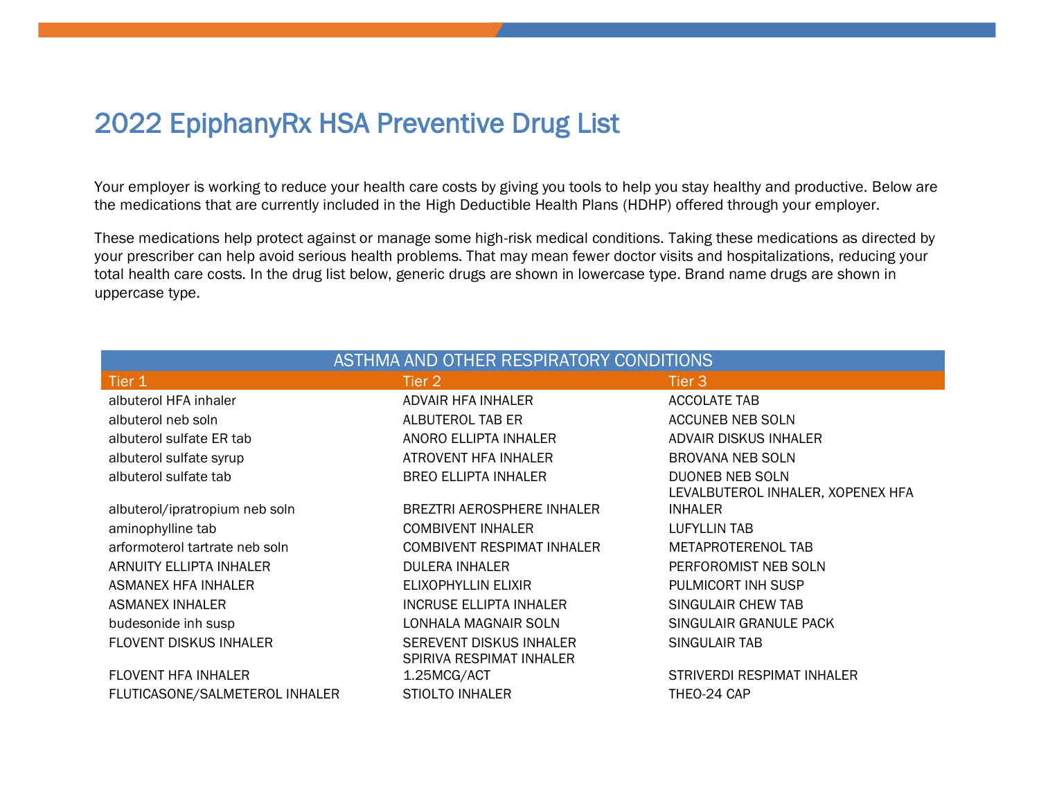# 2022 EpiphanyRx HSA Preventive Drug List

Your employer is working to reduce your health care costs by giving you tools to help you stay healthy and productive. Below are the medications that are currently included in the High Deductible Health Plans (HDHP) offered through your employer.

These medications help protect against or manage some high-risk medical conditions. Taking these medications as directed by your prescriber can help avoid serious health problems. That may mean fewer doctor visits and hospitalizations, reducing your total health care costs. In the drug list below, generic drugs are shown in lowercase type. Brand name drugs are shown in uppercase type.

| ASTHMA AND OTHER RESPIRATORY CONDITIONS |                                                     |                                   |  |
|-----------------------------------------|-----------------------------------------------------|-----------------------------------|--|
| Tier 1                                  | Tier 2                                              | Tier 3                            |  |
| albuterol HFA inhaler                   | ADVAIR HFA INHALER                                  | <b>ACCOLATE TAB</b>               |  |
| albuterol neb soln                      | ALBUTEROL TAB ER                                    | ACCUNEB NEB SOLN                  |  |
| albuterol sulfate ER tab                | ANORO ELLIPTA INHALER                               | ADVAIR DISKUS INHALER             |  |
| albuterol sulfate syrup                 | <b>ATROVENT HFA INHALER</b>                         | <b>BROVANA NEB SOLN</b>           |  |
| albuterol sulfate tab                   | <b>BREO ELLIPTA INHALER</b>                         | <b>DUONEB NEB SOLN</b>            |  |
|                                         |                                                     | LEVALBUTEROL INHALER, XOPENEX HFA |  |
| albuterol/ipratropium neb soln          | BREZTRI AEROSPHERE INHALER                          | <b>INHALER</b>                    |  |
| aminophylline tab                       | <b>COMBIVENT INHALER</b>                            | LUFYLLIN TAB                      |  |
| arformoterol tartrate neb soln          | <b>COMBIVENT RESPIMAT INHALER</b>                   | METAPROTERENOL TAB                |  |
| ARNUITY ELLIPTA INHALER                 | <b>DULERA INHALER</b>                               | PERFOROMIST NEB SOLN              |  |
| <b>ASMANEX HFA INHALER</b>              | ELIXOPHYLLIN ELIXIR                                 | PULMICORT INH SUSP                |  |
| ASMANEX INHALER                         | <b>INCRUSE ELLIPTA INHALER</b>                      | SINGULAIR CHEW TAB                |  |
| budesonide inh susp                     | LONHALA MAGNAIR SOLN                                | SINGULAIR GRANULE PACK            |  |
| <b>FLOVENT DISKUS INHALER</b>           | SEREVENT DISKUS INHALER<br>SPIRIVA RESPIMAT INHALER | SINGULAIR TAB                     |  |
| <b>FLOVENT HFA INHALER</b>              | 1.25MCG/ACT                                         | STRIVERDI RESPIMAT INHALER        |  |
| FLUTICASONE/SALMETEROL INHALER          | <b>STIOLTO INHALER</b>                              | THEO-24 CAP                       |  |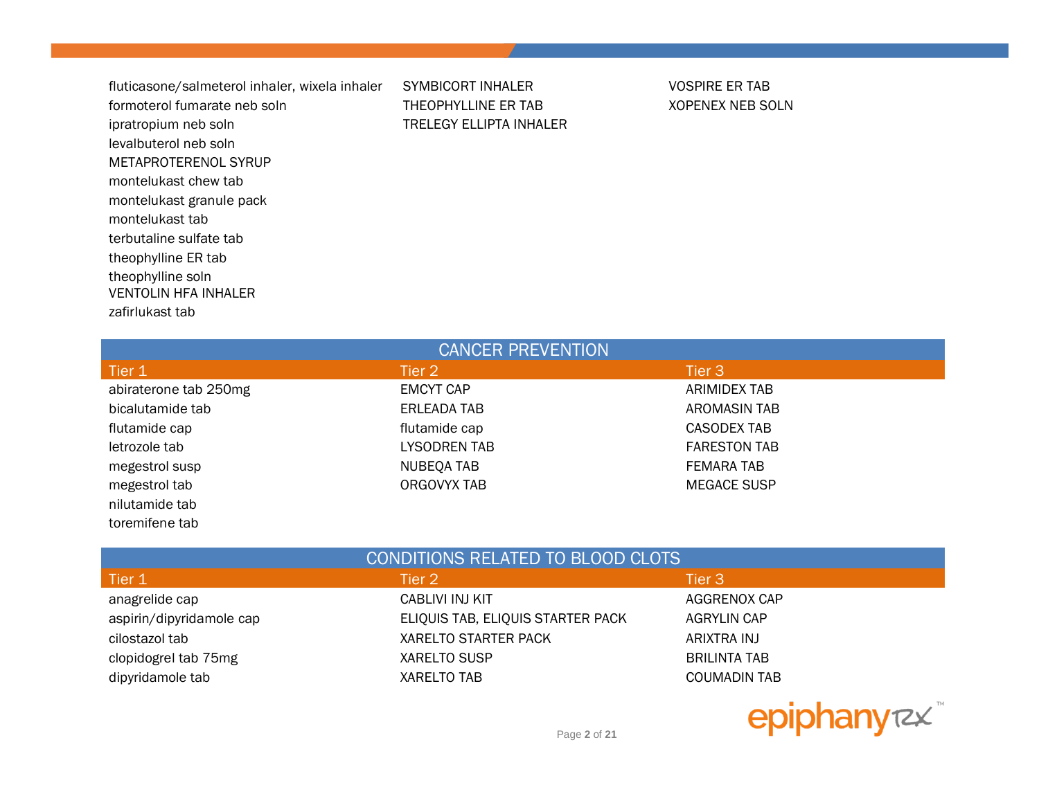fluticasone/salmeterol inhaler, wixela inhaler SYMBICORT INHALER VOSPIRE ER TAB formoterol fumarate neb soln THEOPHYLLINE ER TAB XOPENEX NEB SOLN ipratropium neb soln TRELEGY ELLIPTA INHALER levalbuterol neb soln METAPROTERENOL SYRUP montelukast chew tab montelukast granule pack montelukast tab terbutaline sulfate tab theophylline ER tab theophylline soln VENTOLIN HFA INHALER zafirlukast tab

toremifene tab

| <b>CANCER PREVENTION</b> |                   |                     |  |
|--------------------------|-------------------|---------------------|--|
| Tier 1                   | Tier 2            | Tier 3              |  |
| abiraterone tab 250mg    | <b>EMCYT CAP</b>  | ARIMIDEX TAB        |  |
| bicalutamide tab         | ERLEADA TAB       | AROMASIN TAB        |  |
| flutamide cap            | flutamide cap     | CASODEX TAB         |  |
| letrozole tab            | LYSODREN TAB      | <b>FARESTON TAB</b> |  |
| megestrol susp           | <b>NUBEQA TAB</b> | <b>FEMARA TAB</b>   |  |
| megestrol tab            | ORGOVYX TAB       | <b>MEGACE SUSP</b>  |  |
| nilutamide tab           |                   |                     |  |

| CONDITIONS RELATED TO BLOOD CLOTS |                                   |                     |  |
|-----------------------------------|-----------------------------------|---------------------|--|
| Tier 1                            | Tier 2                            | Tier 3              |  |
| anagrelide cap                    | CABLIVI INJ KIT                   | AGGRENOX CAP        |  |
| aspirin/dipyridamole cap          | ELIQUIS TAB, ELIQUIS STARTER PACK | <b>AGRYLIN CAP</b>  |  |
| cilostazol tab                    | <b>XARELTO STARTER PACK</b>       | ARIXTRA INJ         |  |
| clopidogrel tab 75mg              | <b>XARELTO SUSP</b>               | <b>BRILINTA TAB</b> |  |
| dipyridamole tab                  | <b>XARELTO TAB</b>                | <b>COUMADIN TAB</b> |  |



Page **2** of **21**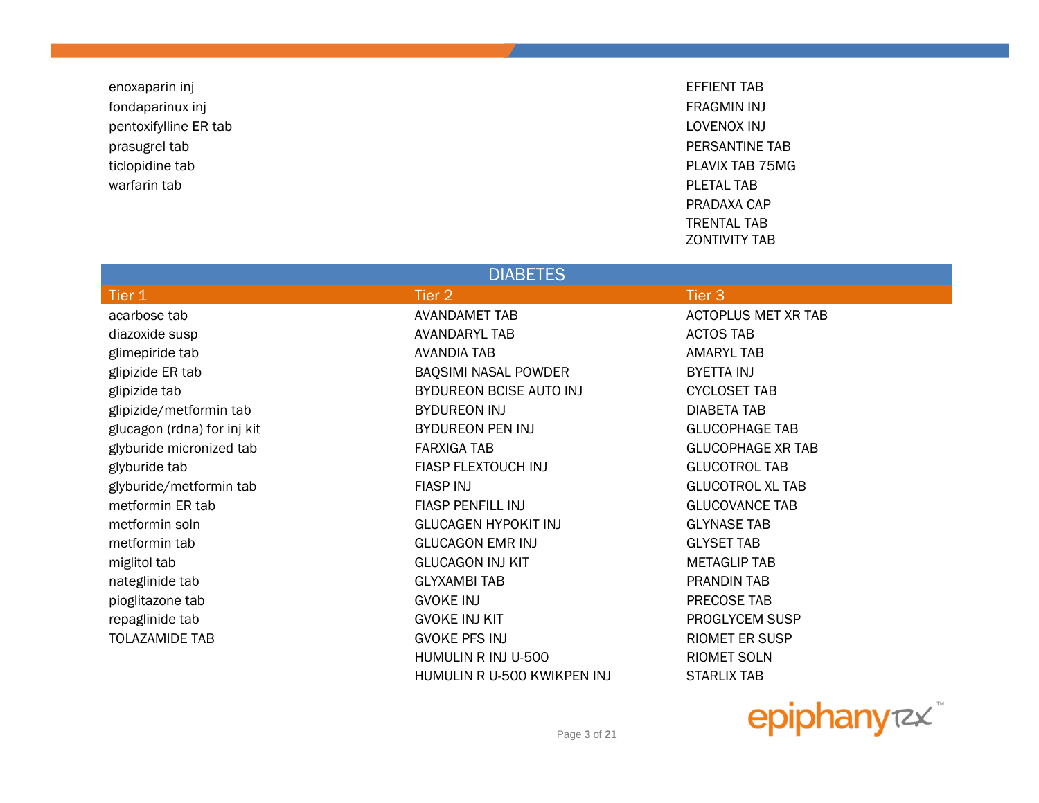enoxaparin inj EFFIENT TAB fondaparinux inj FRAGMIN INJ pentoxifylline ER tab **LOVENOX** INJ prasugrel tab **PERSANTINE TAB** ticlopidine tab PLAVIX TAB 75MG warfarin tab **PLETAL TAB** 

PRADAXA CAP TRENTAL TAB ZONTIVITY TAB

#### **DIABETES**

| Tier 1                      | Tier 2                      | Tier <sub>3</sub>          |
|-----------------------------|-----------------------------|----------------------------|
| acarbose tab                | <b>AVANDAMET TAB</b>        | <b>ACTOPLUS MET XR TAB</b> |
| diazoxide susp              | <b>AVANDARYL TAB</b>        | <b>ACTOS TAB</b>           |
| glimepiride tab             | AVANDIA TAB                 | <b>AMARYL TAB</b>          |
| glipizide ER tab            | BAQSIMI NASAL POWDER        | <b>BYETTA INJ</b>          |
| glipizide tab               | BYDUREON BCISE AUTO INJ     | <b>CYCLOSET TAB</b>        |
| glipizide/metformin tab     | BYDUREON INJ                | <b>DIABETA TAB</b>         |
| glucagon (rdna) for inj kit | BYDUREON PEN INJ            | <b>GLUCOPHAGE TAB</b>      |
| glyburide micronized tab    | FARXIGA TAB                 | <b>GLUCOPHAGE XR TAB</b>   |
| glyburide tab               | FIASP FLEXTOUCH INJ         | <b>GLUCOTROL TAB</b>       |
| glyburide/metformin tab     | <b>FIASP INJ</b>            | <b>GLUCOTROL XL TAB</b>    |
| metformin ER tab            | <b>FIASP PENFILL INJ</b>    | <b>GLUCOVANCE TAB</b>      |
| metformin soln              | <b>GLUCAGEN HYPOKIT INJ</b> | <b>GLYNASE TAB</b>         |
| metformin tab               | <b>GLUCAGON EMR INJ</b>     | <b>GLYSET TAB</b>          |
| miglitol tab                | <b>GLUCAGON INJ KIT</b>     | <b>METAGLIP TAB</b>        |
| nateglinide tab             | <b>GLYXAMBI TAB</b>         | PRANDIN TAB                |
| pioglitazone tab            | <b>GVOKE INJ</b>            | PRECOSE TAB                |
| repaglinide tab             | <b>GVOKE INJ KIT</b>        | PROGLYCEM SUSP             |
| <b>TOLAZAMIDE TAB</b>       | <b>GVOKE PFS INJ</b>        | <b>RIOMET ER SUSP</b>      |
|                             | HUMULIN R INJ U-500         | RIOMET SOLN                |



HUMULIN R U-500 KWIKPEN INJ STARLIX TAB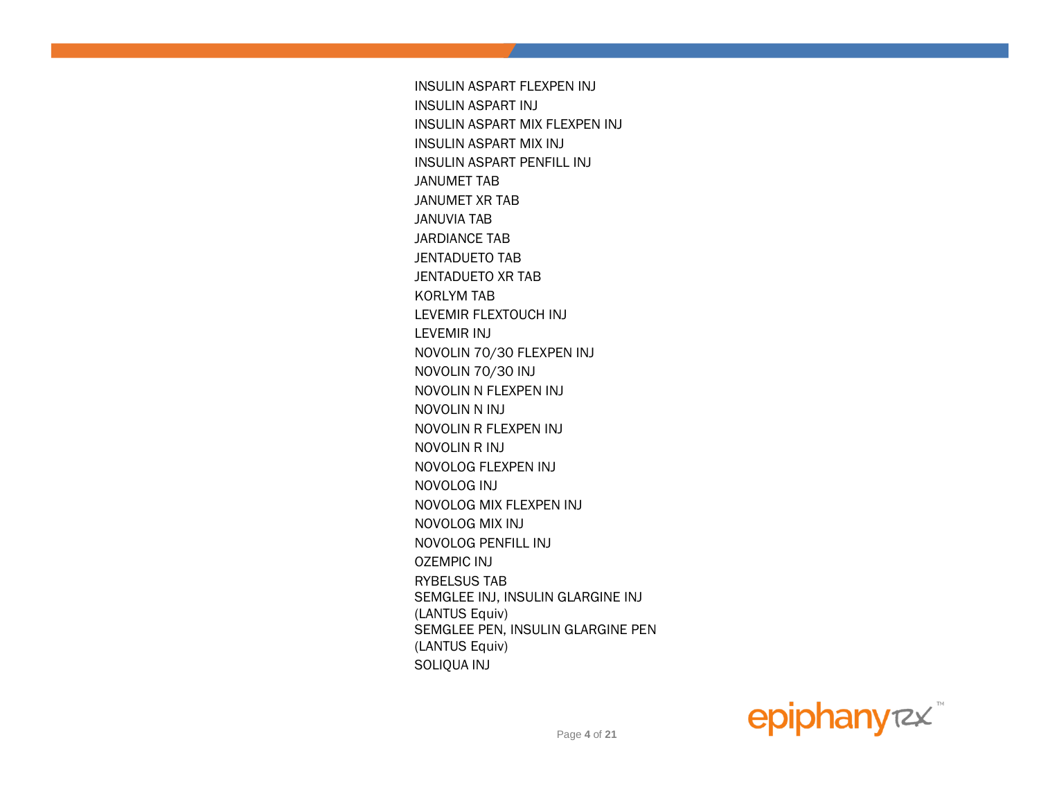INSULIN ASPART FLEXPEN INJ INSULIN ASPART INJ INSULIN ASPART MIX FLEXPEN INJ INSULIN ASPART MIX INJ INSULIN ASPART PENFILL INJ JANUMET TAB JANUMET XR TAB JANUVIA TAB JARDIANCE TAB JENTADUETO TAB JENTADUETO XR TAB KORLYM TAB LEVEMIR FLEXTOUCH INJ LEVEMIR INJ NOVOLIN 70/30 FLEXPEN INJ NOVOLIN 70/30 INJ NOVOLIN N FLEXPEN INJ NOVOLIN N INJ NOVOLIN R FLEXPEN INJ NOVOLIN R INJ NOVOLOG FLEXPEN INJ NOVOLOG INJ NOVOLOG MIX FLEXPEN INJ NOVOLOG MIX INJ NOVOLOG PENFILL INJ OZEMPIC INJ RYBELSUS TAB SEMGLEE INJ, INSULIN GLARGINE INJ (LANTUS Equiv) SEMGLEE PEN, INSULIN GLARGINE PEN (LANTUS Equiv) SOLIQUA INJ

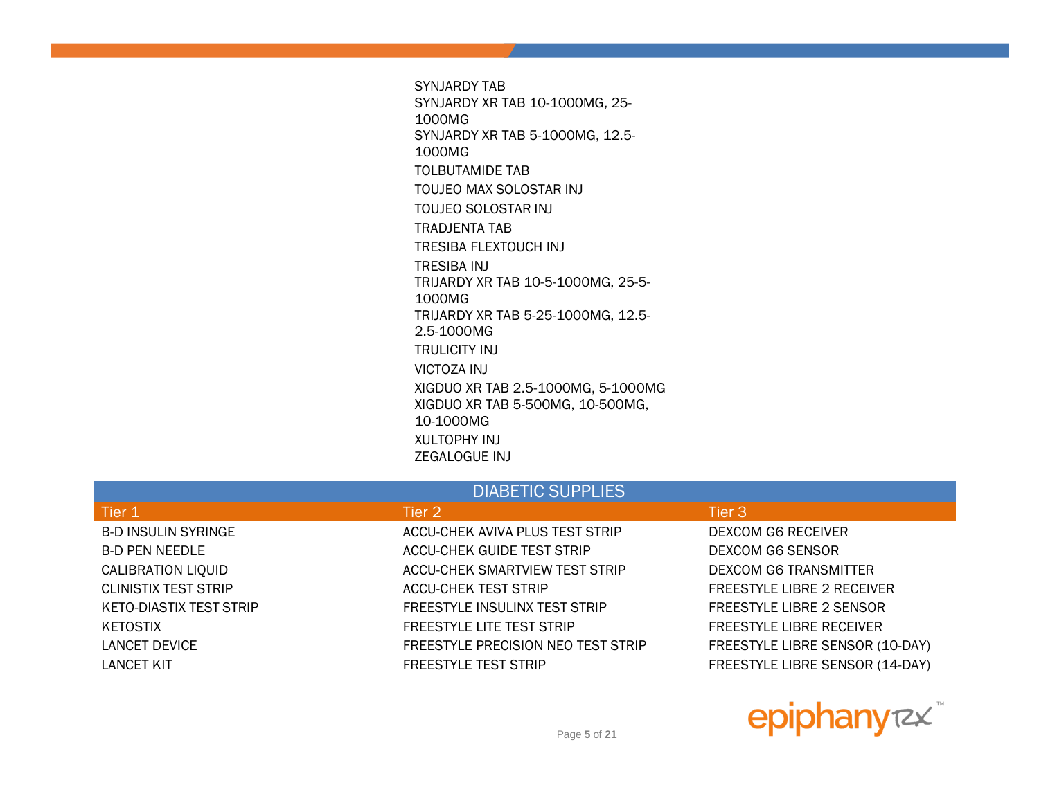SYNJARDY TAB SYNJARDY XR TAB 10-1000MG, 25- 1000MG SYNJARDY XR TAB 5-1000MG, 12.5- 1000MG TOLBUTAMIDE TAB TOUJEO MAX SOLOSTAR INJ TOUJEO SOLOSTAR INJ TRADJENTA TAB TRESIBA FLEXTOUCH INJ TRESIBA INJ TRIJARDY XR TAB 10-5-1000MG, 25-5- 1000MG TRIJARDY XR TAB 5-25-1000MG, 12.5- 2.5-1000MG TRULICITY INJ VICTOZA INJ XIGDUO XR TAB 2.5-1000MG, 5-1000MG XIGDUO XR TAB 5-500MG, 10-500MG, 10-1000MG XULTOPHY INJ ZEGALOGUE INJ

#### DIABETIC SUPPLIES

B-D INSULIN SYRINGE THE RECEIVER ACCU-CHEK AVIVA PLUS TEST STRIP THE DEXCOM G6 RECEIVER B-D PEN NEEDLE ACCU-CHEK GUIDE TEST STRIP DEXCOM G6 SENSOR CALIBRATION LIOUID **ACCU-CHEK SMARTVIEW TEST STRIP** DEXCOM G6 TRANSMITTER CLINISTIX TEST STRIP ACCU-CHEK TEST STRIP FREESTYLE LIBRE 2 RECEIVER KETO-DIASTIX TEST STRIP FREESTYLE INSULINX TEST STRIP FREESTYLE LIBRE 2 SENSOR KETOSTIX FREESTYLE LITE TEST STRIP FREESTYLE LITE TEST STRIP FREESTYLE LIBRE RECEIVER LANCET DEVICE FREESTYLE PRECISION NEO TEST STRIP FREESTYLE LIBRE SENSOR (10-DAY) LANCET KIT FREESTYLE TEST STRIP FREESTYLE TEST STRIP FREESTYLE LIBRE SENSOR (14-DAY)

#### Tier  $1$  Tier  $2$  Tier  $2$  Tier  $3$  Tier  $3$



Page **5** of **21**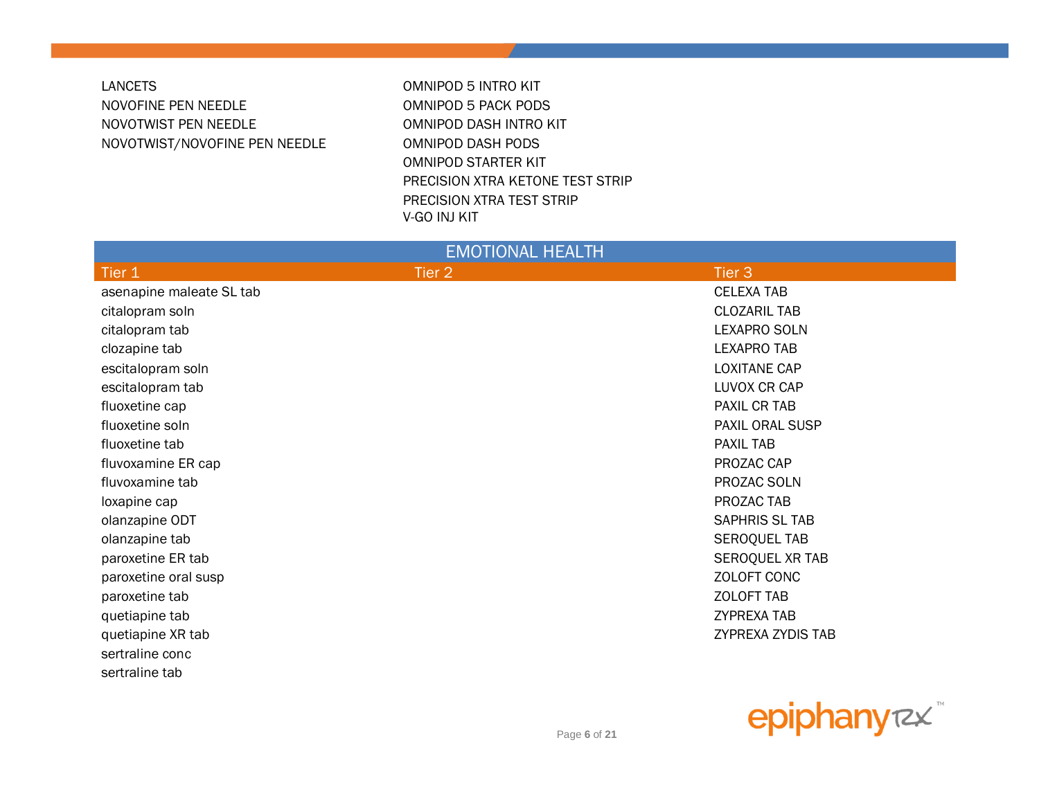#### **LANCETS** NOVOFINE PEN NEEDLE NOVOTWIST PEN NEEDLE NOVOTWIST/NOVOFINE PEN NEEDLE

**OMNIPOD 5 INTRO KIT** OMNIPOD 5 PACK PODS OMNIPOD DASH INTRO KIT OMNIPOD DASH PODS **OMNIPOD STARTER KIT** PRECISION XTRA KETONE TEST STRIP PRECISION XTRA TEST STRIP V-GO INJ KIT

| <b>EMOTIONAL HEALTH</b>  |        |                     |  |
|--------------------------|--------|---------------------|--|
| Tier 1                   | Tier 2 | Tier 3              |  |
| asenapine maleate SL tab |        | <b>CELEXA TAB</b>   |  |
| citalopram soln          |        | <b>CLOZARIL TAB</b> |  |
| citalopram tab           |        | <b>LEXAPRO SOLN</b> |  |
| clozapine tab            |        | <b>LEXAPRO TAB</b>  |  |
| escitalopram soln        |        | <b>LOXITANE CAP</b> |  |
| escitalopram tab         |        | LUVOX CR CAP        |  |
| fluoxetine cap           |        | PAXIL CR TAB        |  |
| fluoxetine soln          |        | PAXIL ORAL SUSP     |  |
| fluoxetine tab           |        | <b>PAXIL TAB</b>    |  |
| fluvoxamine ER cap       |        | PROZAC CAP          |  |
| fluvoxamine tab          |        | PROZAC SOLN         |  |
| loxapine cap             |        | PROZAC TAB          |  |
| olanzapine ODT           |        | SAPHRIS SL TAB      |  |
| olanzapine tab           |        | <b>SEROQUEL TAB</b> |  |
| paroxetine ER tab        |        | SEROQUEL XR TAB     |  |
| paroxetine oral susp     |        | ZOLOFT CONC         |  |
| paroxetine tab           |        | <b>ZOLOFT TAB</b>   |  |
| quetiapine tab           |        | <b>ZYPREXA TAB</b>  |  |
| quetiapine XR tab        |        | ZYPREXA ZYDIS TAB   |  |
| sertraline conc          |        |                     |  |
| sertraline tab           |        |                     |  |

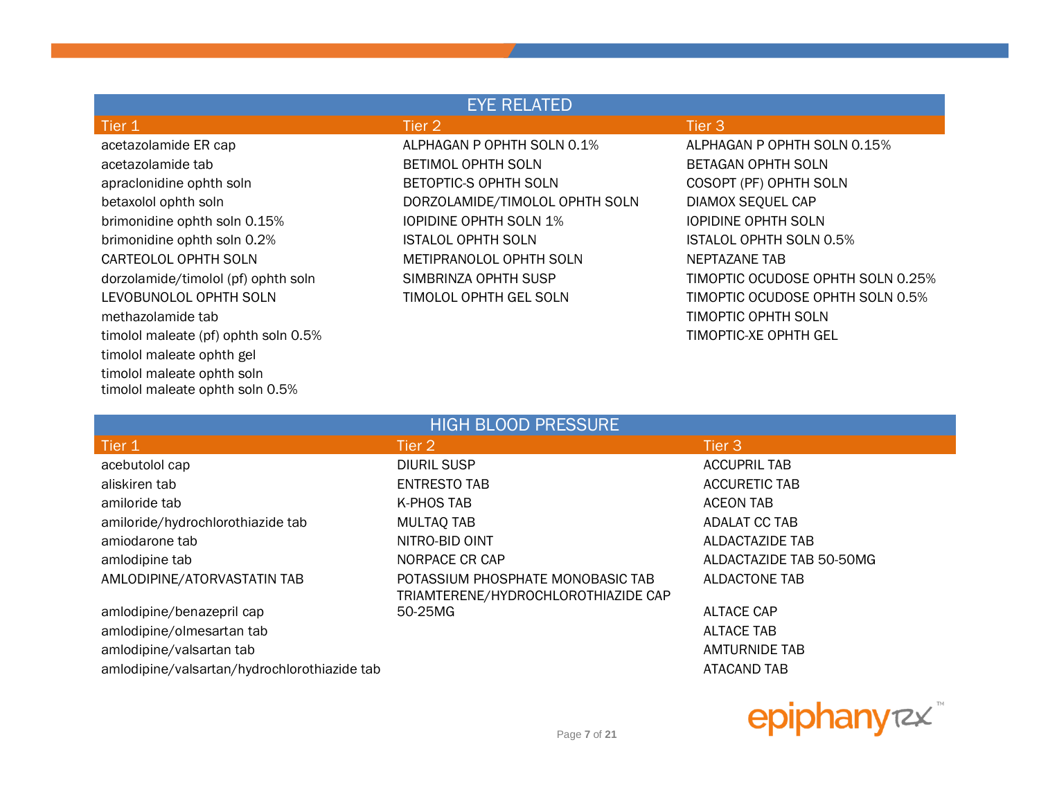| <b>EYE RELATED</b>                   |                                |                                   |  |
|--------------------------------------|--------------------------------|-----------------------------------|--|
| Tier 1                               | Tier 2                         | Tier $3$                          |  |
| acetazolamide ER cap                 | ALPHAGAN P OPHTH SOLN 0.1%     | ALPHAGAN P OPHTH SOLN 0.15%       |  |
| acetazolamide tab                    | <b>BETIMOL OPHTH SOLN</b>      | BETAGAN OPHTH SOLN                |  |
| apraclonidine ophth soln             | BETOPTIC-S OPHTH SOLN          | COSOPT (PF) OPHTH SOLN            |  |
| betaxolol ophth soln                 | DORZOLAMIDE/TIMOLOL OPHTH SOLN | DIAMOX SEQUEL CAP                 |  |
| brimonidine ophth soln 0.15%         | <b>IOPIDINE OPHTH SOLN 1%</b>  | <b>IOPIDINE OPHTH SOLN</b>        |  |
| brimonidine ophth soln 0.2%          | ISTALOL OPHTH SOLN             | <b>ISTALOL OPHTH SOLN 0.5%</b>    |  |
| CARTEOLOL OPHTH SOLN                 | METIPRANOLOL OPHTH SOLN        | NEPTAZANE TAB                     |  |
| dorzolamide/timolol (pf) ophth soln  | SIMBRINZA OPHTH SUSP           | TIMOPTIC OCUDOSE OPHTH SOLN 0.25% |  |
| LEVOBUNOLOL OPHTH SOLN               | TIMOLOL OPHTH GEL SOLN         | TIMOPTIC OCUDOSE OPHTH SOLN 0.5%  |  |
| methazolamide tab                    |                                | TIMOPTIC OPHTH SOLN               |  |
| timolol maleate (pf) ophth soln 0.5% |                                | TIMOPTIC-XE OPHTH GEL             |  |
| timolol maleate ophth gel            |                                |                                   |  |
| timolol maleate ophth soln           |                                |                                   |  |
| timolol maleate ophth soln 0.5%      |                                |                                   |  |

| <b>HIGH BLOOD PRESSURE</b>                   |                                                                          |                         |  |
|----------------------------------------------|--------------------------------------------------------------------------|-------------------------|--|
| Tier 1                                       | Tier 2                                                                   | Tier 3                  |  |
| acebutolol cap                               | <b>DIURIL SUSP</b>                                                       | <b>ACCUPRIL TAB</b>     |  |
| aliskiren tab                                | <b>ENTRESTO TAB</b>                                                      | <b>ACCURETIC TAB</b>    |  |
| amiloride tab                                | K-PHOS TAB                                                               | <b>ACEON TAB</b>        |  |
| amiloride/hydrochlorothiazide tab            | <b>MULTAQ TAB</b>                                                        | <b>ADALAT CC TAB</b>    |  |
| amiodarone tab                               | NITRO-BID OINT                                                           | ALDACTAZIDE TAB         |  |
| amlodipine tab                               | NORPACE CR CAP                                                           | ALDACTAZIDE TAB 50-50MG |  |
| AMLODIPINE/ATORVASTATIN TAB                  | POTASSIUM PHOSPHATE MONOBASIC TAB<br>TRIAMTERENE/HYDROCHLOROTHIAZIDE CAP | <b>ALDACTONE TAB</b>    |  |
| amlodipine/benazepril cap                    | 50-25MG                                                                  | ALTACE CAP              |  |
| amlodipine/olmesartan tab                    |                                                                          | <b>ALTACE TAB</b>       |  |
| amlodipine/valsartan tab                     |                                                                          | <b>AMTURNIDE TAB</b>    |  |
| amlodipine/valsartan/hydrochlorothiazide tab |                                                                          | ATACAND TAB             |  |

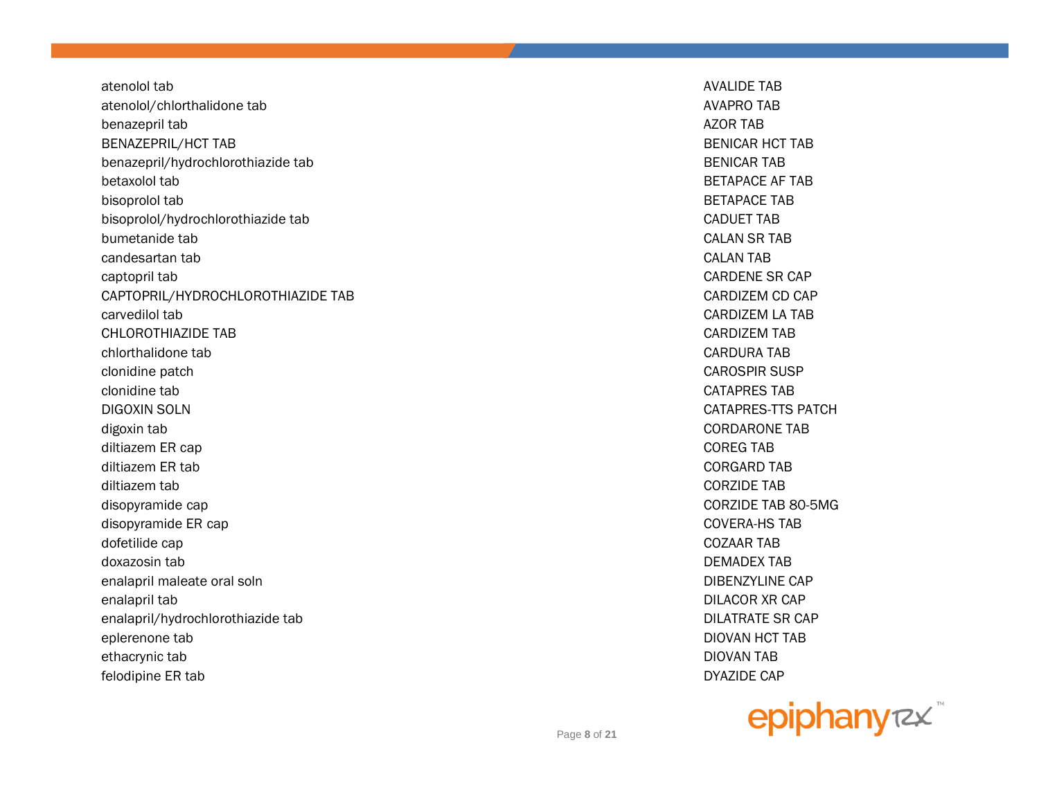atenolol tab atenolol/chlorthalidone tab benazepril tab **BENAZEPRIL/HCT TAB** benazepril/hydrochlorothiazide tab betaxolol tab bisoprolol tab bisoprolol/hydrochlorothiazide tab bumetanide tab candesartan tab captopril tab CAPTOPRIL/HYDROCHLOROTHIAZIDE TAB carvedilol tab **CHLOROTHIAZIDE TAB** chlorthalidone tab clonidine patch clonidine tab DIGOXIN SOLN digoxin tab diltiazem ER cap diltiazem ER tab diltiazem tab disopyramide cap disopyramide ER cap dofetilide cap doxazosin tab enalapril maleate oral soln enalapril tab enalapril/hydrochlorothiazide tab eplerenone tab ethacrynic tab felodipine ER tab

**AVALIDE TAB AVAPRO TAB AZOR TAR BENICAR HCT TAB BENICAR TAB BETAPACE AF TAB BETAPACE TAB CADUET TAB CALAN SR TAB CALAN TAB CARDENE SR CAP** CARDIZEM CD CAP **CARDIZEM LA TAB CARDIZEM TAB CARDURA TAB CAROSPIR SUSP CATAPRES TAB** CATAPRES-TTS PATCH **CORDARONE TAB COREG TAB CORGARD TAB CORZIDE TAB** CORZIDE TAB 80-5MG **COVERA-HS TAB COZAAR TAB DEMADEX TAR DIBENZYLINE CAP DILACOR XR CAP DILATRATE SR CAP DIOVAN HCT TAB DIOVAN TAB DYAZIDE CAP** 

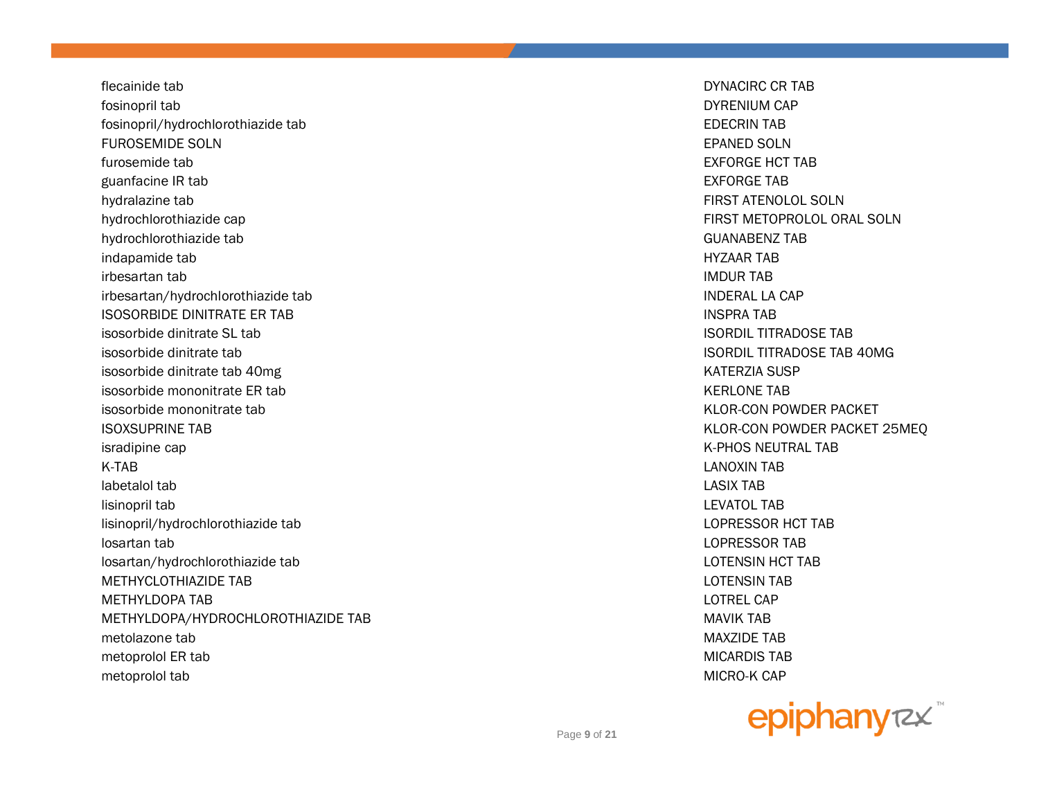flecainide tab DYNACIRC CR TAB fosinopril tab DYRENIUM CAP fosinopril/hydrochlorothiazide tab EDECRIN TAB FUROSEMIDE SOLN EPANED SOLN furosemide tab EXFORGE HCT TAB guanfacine IR tab EXFORGE TAB hydralazine tab FIRST ATENOLOL SOLN hydrochlorothiazide cap FIRST METOPROLOL ORAL SOLN hydrochlorothiazide tab GUANABENZ TAB indapamide tab HYZAAR TAB irbesartan tab IMDUR TAB irbesartan/hydrochlorothiazide tab INDERAL LA CAP ISOSORBIDE DINITRATE ER TAB INSPRA TAB isosorbide dinitrate SL tab ISORDIL TITRADOSE TAB isosorbide dinitrate tab ISORDIL TITRADOSE TAB 40MG isosorbide dinitrate tab 40mg Kata ang mga kata at ang kata ang kata ang kata ang kata ang kata ang kata ang k isosorbide mononitrate ER tab KERLONE TAB KERLONE TAB isosorbide mononitrate tab **KLOR-CON POWDER PACKET** ISOXSUPRINE TAB KLOR-CON POWDER PACKET 25MEQ isradipine cap **K-PHOS NEUTRAL TAB** K-TAB LANOXIN TAB labetalol tab LASIX TAB lisinopril tab LEVATOL TAB lisinopril/hydrochlorothiazide tab LOPRESSOR HCT TAB losartan tab LOPRESSOR TAB losartan/hydrochlorothiazide tab LOTENSIN HCT TAB METHYCLOTHIAZIDE TAB LOTENSIN TAB METHYLDOPA TAB LOTREL CAP METHYLDOPA/HYDROCHLOROTHIAZIDE TAB MAVIK TAB MAVIK TAB metolazone tab MAXZIDE TAB metoprolol ER tab MICARDIS TAB MICARDIS TAB MICARDIS TAB MICARDIS TAB MICARDIS TAB MICARDIS TAB MICARDIS TAB M metoprolol tab MICRO-K CAP

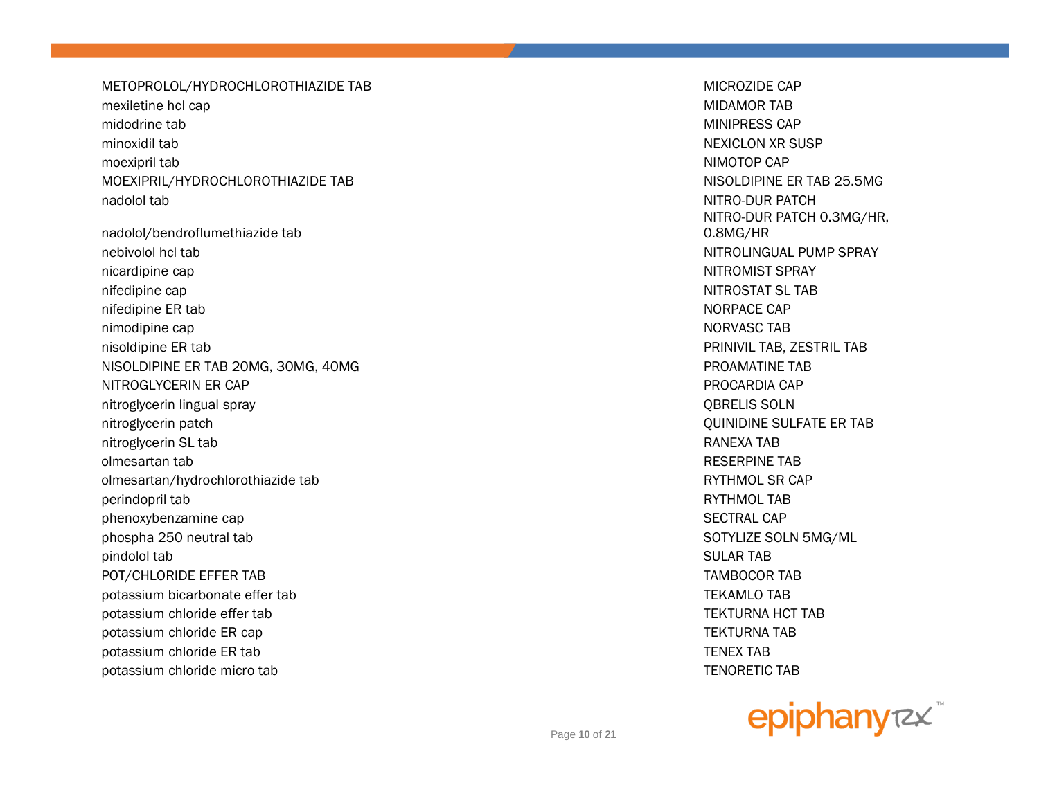METOPROLOL/HYDROCHLOROTHIAZIDE TAB MICROZIDE CAP mexiletine hcl cap MIDAMOR TAB midodrine tab **MINIPRESS CAP** MINIPRESS CAP minoxidil tab NEXICLON XR SUSP moexipril tab NIMOTOP CAP MOEXIPRIL/HYDROCHLOROTHIAZIDE TAB NISOLDIPINE ER TAB 25.5MG nadolol tab NITRO-DUR PATCH

nadolol/bendroflumethiazide tab nebivolol hcl tab NITROLINGUAL PUMP SPRAY nicardipine cap NITROMIST SPRAY nifedipine cap NITROSTAT SL TAB nifedipine ER tab NORPACE CAP NORPACE CAP nimodipine cap NORVASC TAB nisoldipine ER tab PRINIVIL TAB, ZESTRIL TAB NISOLDIPINE ER TAB 20MG, 30MG, 40MG PROAMATINE TAB NITROGLYCERIN ER CAP PROCARDIA CAP PROCARDIA CAP PROCARDIA CAP PROCARDIA CAP PROCARDIA CAP nitroglycerin lingual spray QBRELIS SOLN nitroglycerin patch QUINIDINE SULFATE ER TAB nitroglycerin SL tab RANEXA TAB olmesartan tab RESERPINE TAB olmesartan/hydrochlorothiazide tab **RYTHMOL SR CAP** and the RYTHMOL SR CAP perindopril tab RYTHMOL TAB phenoxybenzamine cap SECTRAL CAP SECTRAL CAP phospha 250 neutral tab SOTYLIZE SOLN 5MG/ML pindolol tab SULAR TAB POT/CHLORIDE EFFER TAB TAMBOCOR TAB potassium bicarbonate effer tab TEKAMLO TAB potassium chloride effer tab TEKTURNA HCT TAB potassium chloride ER cap TEKTURNA TAB potassium chloride ER tab TENEX TAB potassium chloride micro tab TENORETIC TAB CONSERVERSION CONSERVERSION CONSERVERSION CONSERVERSION CONSERVERSIO

NITRO-DUR PATCH 0.3MG/HR, 0.8MG/HR

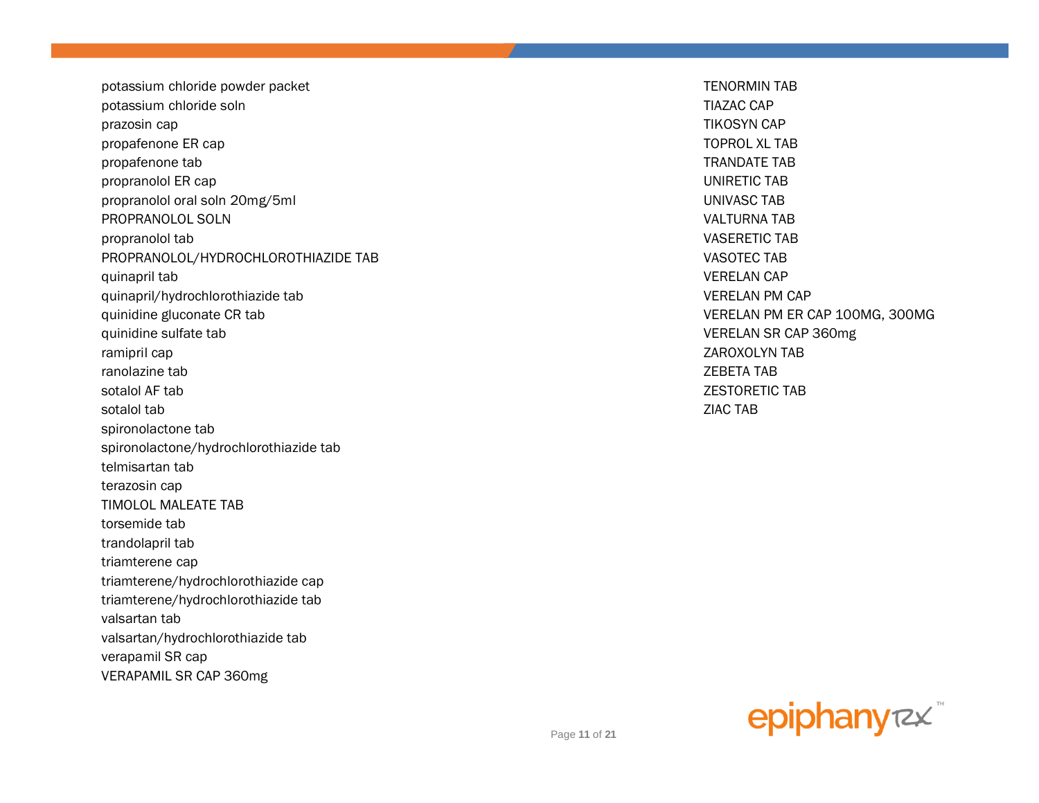potassium chloride powder packet **TENORMIN TAB** potassium chloride soln TIAZAC CAP prazosin cap TIKOSYN CAP propafenone ER cap TOPROL XL TAB propafenone tab TRANDATE TAB propranolol ER cap UNIRETIC TAB propranolol oral soln 20mg/5ml UNIVASC TAB PROPRANOLOL SOLN VALTURNA TAB propranolol tab VASERETIC TAB PROPRANOLOL/HYDROCHLOROTHIAZIDE TAB VASOTEC TAB quinapril tab VERELAN CAP quinapril/hydrochlorothiazide tab VERELAN PM CAP quinidine gluconate CR tab  $V$  and  $V$  and  $V$  and  $V$  are  $V$  and  $V$  are  $V$  are  $V$  are  $V$  are  $V$  and  $V$  are  $V$  are  $V$  are  $V$  and  $V$  are  $V$  are  $V$  are  $V$  are  $V$  and  $V$  are  $V$  are  $V$  are  $V$  are  $V$  are  $V$ quinidine sulfate tab **VERELAN SR CAP 360mg** ramipril cap ZAROXOLYN TAB ranolazine tab ZEBETA TAB sotalol AF tab ZESTORETIC TAB sotalol tab ZIAC TAB spironolactone tab spironolactone/hydrochlorothiazide tab telmisartan tab terazosin cap TIMOLOL MALEATE TAB torsemide tab trandolapril tab triamterene cap triamterene/hydrochlorothiazide cap triamterene/hydrochlorothiazide tab valsartan tab valsartan/hydrochlorothiazide tab verapamil SR cap VERAPAMIL SR CAP 360mg

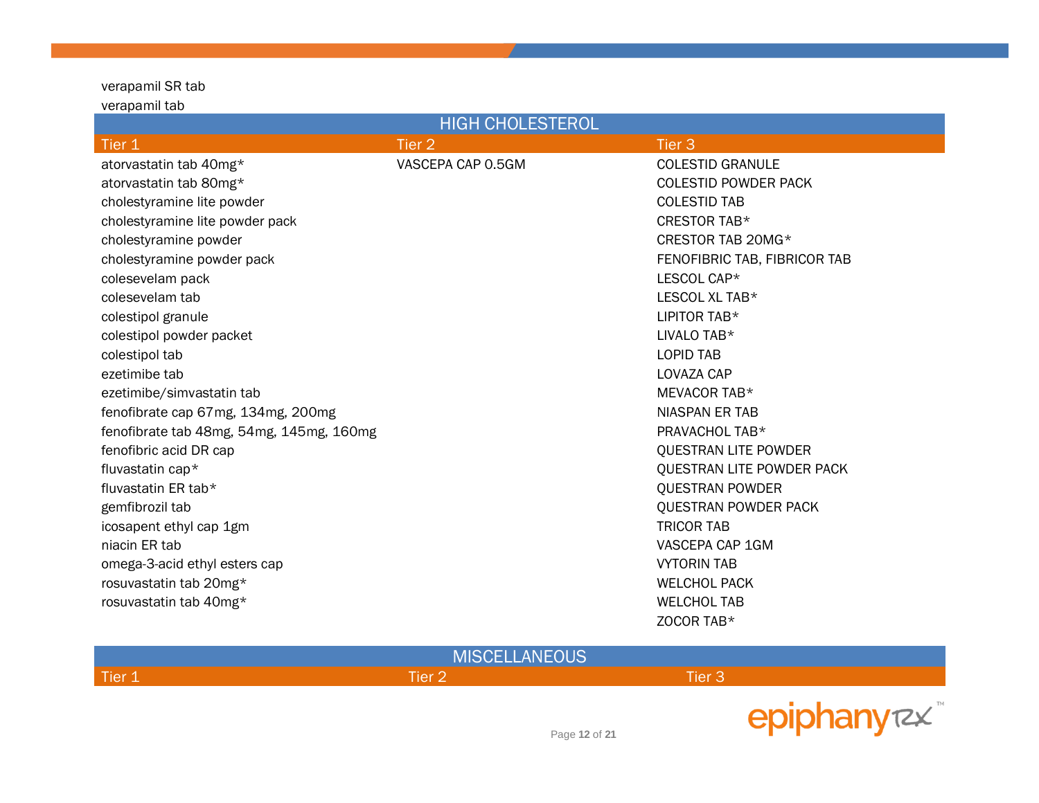#### verapamil SR tab verapamil tab

| <b>HIGH CHOLESTEROL</b>                  |                   |                              |  |
|------------------------------------------|-------------------|------------------------------|--|
| Tier 1                                   | Tier <sub>2</sub> | Tier <sub>3</sub>            |  |
| atorvastatin tab 40mg*                   | VASCEPA CAP 0.5GM | <b>COLESTID GRANULE</b>      |  |
| atorvastatin tab 80mg*                   |                   | <b>COLESTID POWDER PACK</b>  |  |
| cholestyramine lite powder               |                   | <b>COLESTID TAB</b>          |  |
| cholestyramine lite powder pack          |                   | CRESTOR TAB*                 |  |
| cholestyramine powder                    |                   | CRESTOR TAB 20MG*            |  |
| cholestyramine powder pack               |                   | FENOFIBRIC TAB, FIBRICOR TAB |  |
| colesevelam pack                         |                   | LESCOL CAP*                  |  |
| colesevelam tab                          |                   | LESCOL XL TAB*               |  |
| colestipol granule                       |                   | LIPITOR TAB*                 |  |
| colestipol powder packet                 |                   | LIVALO TAB <sup>*</sup>      |  |
| colestipol tab                           |                   | <b>LOPID TAB</b>             |  |
| ezetimibe tab                            |                   | LOVAZA CAP                   |  |
| ezetimibe/simvastatin tab                |                   | MEVACOR TAB*                 |  |
| fenofibrate cap 67mg, 134mg, 200mg       |                   | <b>NIASPAN ER TAB</b>        |  |
| fenofibrate tab 48mg, 54mg, 145mg, 160mg |                   | PRAVACHOL TAB*               |  |
| fenofibric acid DR cap                   |                   | <b>QUESTRAN LITE POWDER</b>  |  |
| fluvastatin cap*                         |                   | QUESTRAN LITE POWDER PACK    |  |
| fluvastatin ER tab*                      |                   | <b>QUESTRAN POWDER</b>       |  |
| gemfibrozil tab                          |                   | <b>QUESTRAN POWDER PACK</b>  |  |
| icosapent ethyl cap 1gm                  |                   | <b>TRICOR TAB</b>            |  |
| niacin ER tab                            |                   | VASCEPA CAP 1GM              |  |
| omega-3-acid ethyl esters cap            |                   | <b>VYTORIN TAB</b>           |  |
| rosuvastatin tab 20mg*                   |                   | <b>WELCHOL PACK</b>          |  |
| rosuvastatin tab 40mg*                   |                   | <b>WELCHOL TAB</b>           |  |
|                                          |                   | ZOCOR TAB*                   |  |

| <b>MISCELLANEOUS</b> |         |               |             |
|----------------------|---------|---------------|-------------|
| Tier 1               | Tier 2. | Tier 3        |             |
|                      |         | Page 12 of 21 | epiphanyrzx |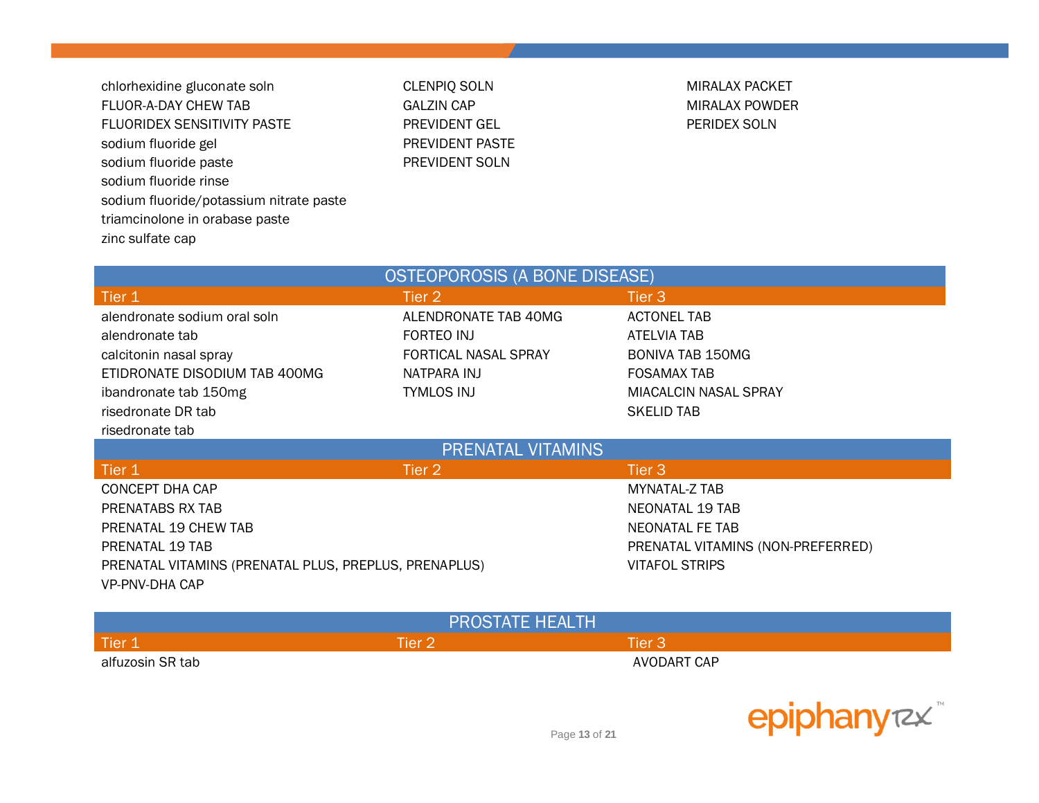chlorhexidine gluconate soln CLENPIQ SOLN CONTEXANTER MIRALAX PACKET FLUOR-A-DAY CHEW TAB GALZIN CAP GALZIN CAP GALZIN CAP MIRALAX POWDER FLUORIDEX SENSITIVITY PASTE PREVIDENT GEL PERIDEX SOLN sodium fluoride gel extending the PREVIDENT PASTE sodium fluoride paste **PREVIDENT SOLN** sodium fluoride rinse sodium fluoride/potassium nitrate paste triamcinolone in orabase paste zinc sulfate cap

| <b>OSTEOPOROSIS (A BONE DISEASE)</b>                  |                      |                                   |  |
|-------------------------------------------------------|----------------------|-----------------------------------|--|
| Tier 1                                                | Tier 2               | Tier 3                            |  |
| alendronate sodium oral soln                          | ALENDRONATE TAB 40MG | <b>ACTONEL TAB</b>                |  |
| alendronate tab                                       | FORTEO INJ           | ATELVIA TAB                       |  |
| calcitonin nasal spray                                | FORTICAL NASAL SPRAY | <b>BONIVA TAB 150MG</b>           |  |
| ETIDRONATE DISODIUM TAB 400MG                         | NATPARA INJ          | <b>FOSAMAX TAB</b>                |  |
| ibandronate tab 150mg                                 | TYMLOS INJ           | <b>MIACALCIN NASAL SPRAY</b>      |  |
| risedronate DR tab                                    |                      | <b>SKELID TAB</b>                 |  |
| risedronate tab                                       |                      |                                   |  |
| <b>PRENATAL VITAMINS</b>                              |                      |                                   |  |
| Tier 1                                                | Tier 2               | Tier 3                            |  |
| CONCEPT DHA CAP                                       |                      | MYNATAL-Z TAB                     |  |
| PRENATABS RX TAB                                      |                      | NEONATAL 19 TAB                   |  |
| <b>PRENATAL 19 CHEW TAB</b>                           |                      | NEONATAL FE TAB                   |  |
|                                                       |                      |                                   |  |
| PRENATAL 19 TAB                                       |                      | PRENATAL VITAMINS (NON-PREFERRED) |  |
| PRENATAL VITAMINS (PRENATAL PLUS, PREPLUS, PRENAPLUS) |                      | <b>VITAFOL STRIPS</b>             |  |

| <b>PROSTATE HEALTH</b> |               |             |  |
|------------------------|---------------|-------------|--|
| Tier 1                 | <b>Tier 2</b> | Tier 3      |  |
| alfuzosin SR tab       |               | AVODART CAP |  |

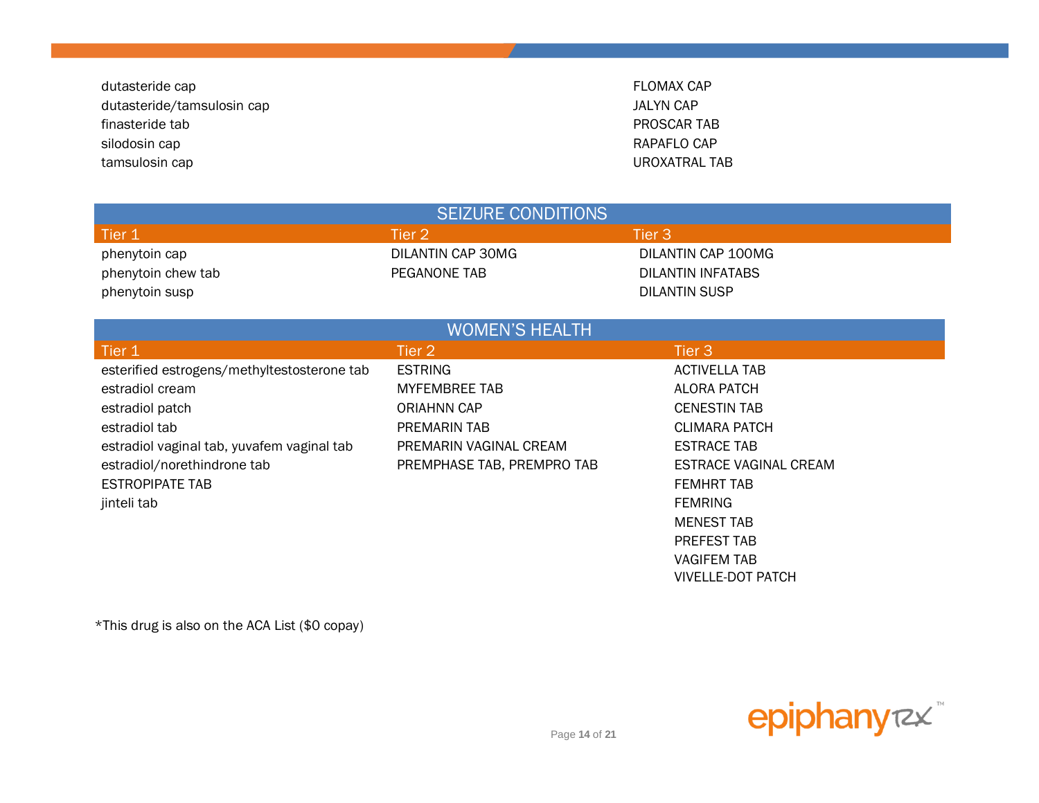dutasteride cap **FLOMAX** CAP dutasteride/tamsulosin cap JALYN CAP finasteride tab PROSCAR TAB silodosin cap **RAPAFLO CAP** RAPAFLO CAP tamsulosin cap UROXATRAL TAB

| <b>SEIZURE CONDITIONS</b>                   |                            |                              |  |  |
|---------------------------------------------|----------------------------|------------------------------|--|--|
| Tier 1                                      | Tier 2                     | Tier 3                       |  |  |
| phenytoin cap                               | DILANTIN CAP 30MG          | DILANTIN CAP 100MG           |  |  |
| phenytoin chew tab                          | PEGANONE TAB               | <b>DILANTIN INFATABS</b>     |  |  |
| phenytoin susp                              |                            | <b>DILANTIN SUSP</b>         |  |  |
|                                             |                            |                              |  |  |
|                                             | <b>WOMEN'S HEALTH</b>      |                              |  |  |
| Tier 1                                      | Tier 2                     | Tier 3                       |  |  |
| esterified estrogens/methyltestosterone tab | <b>ESTRING</b>             | <b>ACTIVELLA TAB</b>         |  |  |
| estradiol cream                             | <b>MYFEMBREE TAB</b>       | <b>ALORA PATCH</b>           |  |  |
| estradiol patch                             | <b>ORIAHNN CAP</b>         | <b>CENESTIN TAB</b>          |  |  |
| estradiol tab                               | PREMARIN TAB               | <b>CLIMARA PATCH</b>         |  |  |
| estradiol vaginal tab, yuvafem vaginal tab  | PREMARIN VAGINAL CREAM     | <b>ESTRACE TAB</b>           |  |  |
| estradiol/norethindrone tab                 | PREMPHASE TAB, PREMPRO TAB | <b>ESTRACE VAGINAL CREAM</b> |  |  |
| <b>ESTROPIPATE TAB</b>                      |                            | <b>FEMHRT TAB</b>            |  |  |
| jinteli tab                                 |                            | <b>FEMRING</b>               |  |  |
|                                             |                            | <b>MENEST TAB</b>            |  |  |
|                                             |                            | PREFEST TAB                  |  |  |
|                                             |                            | <b>VAGIFEM TAB</b>           |  |  |

\*This drug is also on the ACA List (\$0 copay)



VIVELLE-DOT PATCH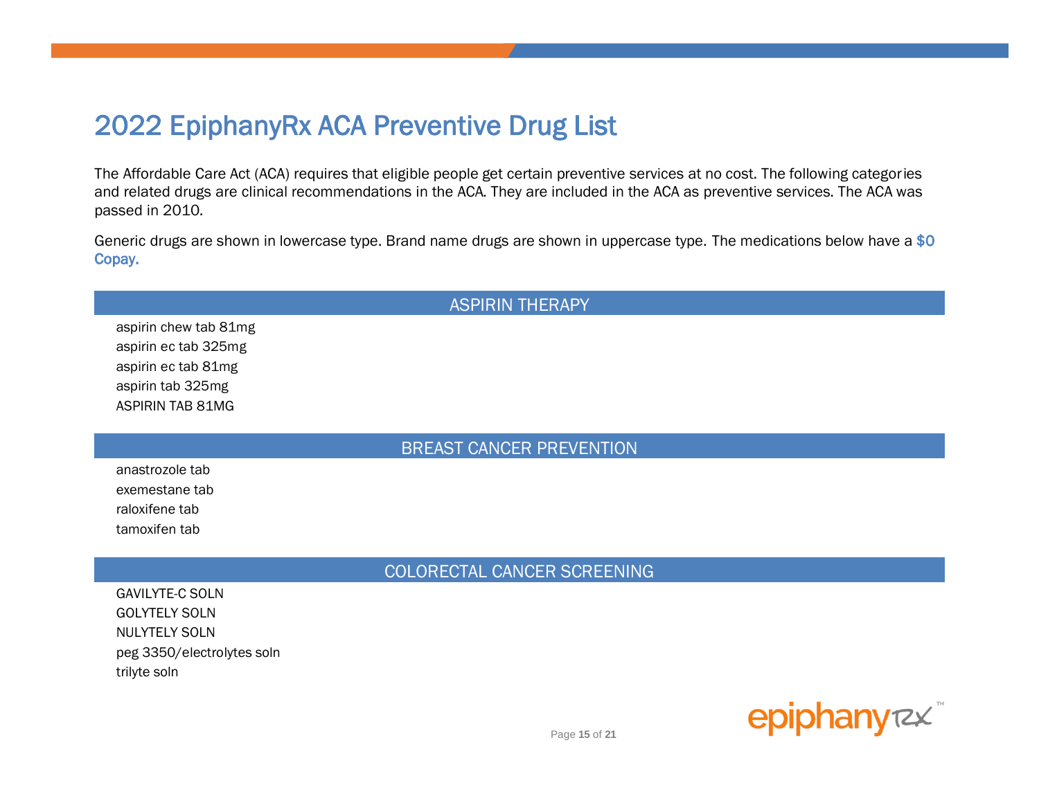# 2022 EpiphanyRx ACA Preventive Drug List

The Affordable Care Act (ACA) requires that eligible people get certain preventive services at no cost. The following categories and related drugs are clinical recommendations in the ACA. They are included in the ACA as preventive services. The ACA was passed in 2010.

Generic drugs are shown in lowercase type. Brand name drugs are shown in uppercase type. The medications below have a \$0 Copay.

#### **ASPIRIN THERAPY**

aspirin chew tab 81mg aspirin ec tab 325mg aspirin ec tab 81mg aspirin tab 325mg **ASPIRIN TAB 81MG** 

#### **BREAST CANCER PREVENTION**

anastrozole tab exemestane tab raloxifene tab tamoxifen tab

COLORECTAL CANCER SCREENING

**GAVILYTE-C SOLN GOLYTELY SOLN NULYTELY SOLN** peg 3350/electrolytes soln trilyte soln

epiphanyrzx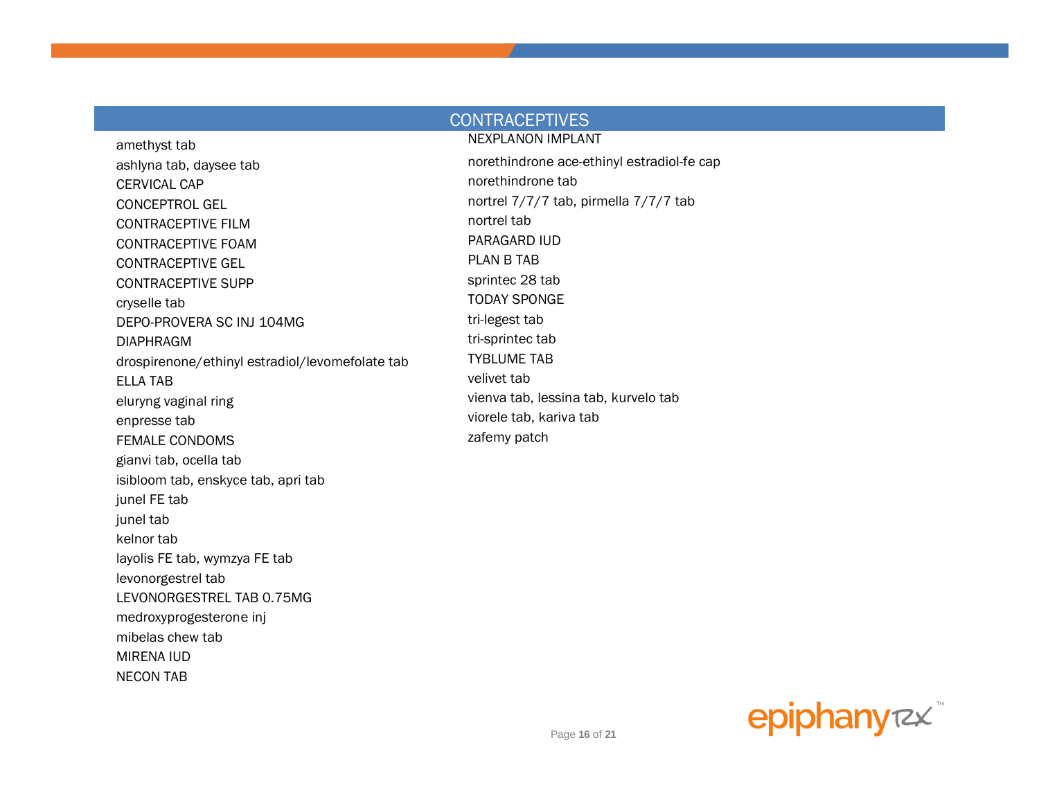#### **CONTRACEPTIVES NEXPLANON IMPLANT**

amethyst tab ashlyna tab, daysee tab **CERVICAL CAP CONCEPTROL GEL CONTRACEPTIVE FILM CONTRACEPTIVE FOAM CONTRACEPTIVE GEL CONTRACEPTIVE SUPP** cryselle tab DEPO-PROVERA SC INJ 104MG **DIAPHRAGM** drospirenone/ethinyl estradiol/levomefolate tab **ELLA TAB** eluryng vaginal ring enpresse tab **FEMALE CONDOMS** gianvi tab, ocella tab isibloom tab, enskyce tab, apri tab junel FE tab junel tab kelnor tab layolis FE tab, wymzya FE tab levonorgestrel tab LEVONORGESTREL TAB 0.75MG medroxyprogesterone inj mibelas chew tab **MIRENA IUD NECON TAB** 

norethindrone ace-ethinyl estradiol-fe cap norethindrone tab nortrel 7/7/7 tab, pirmella 7/7/7 tab nortrel tab PARAGARD IUD **PLAN B TAB** sprintec 28 tab **TODAY SPONGE** tri-legest tab tri-sprintec tab **TYBLUME TAB** velivet tab vienva tab, lessina tab, kurvelo tab viorele tab, kariva tab zafemy patch

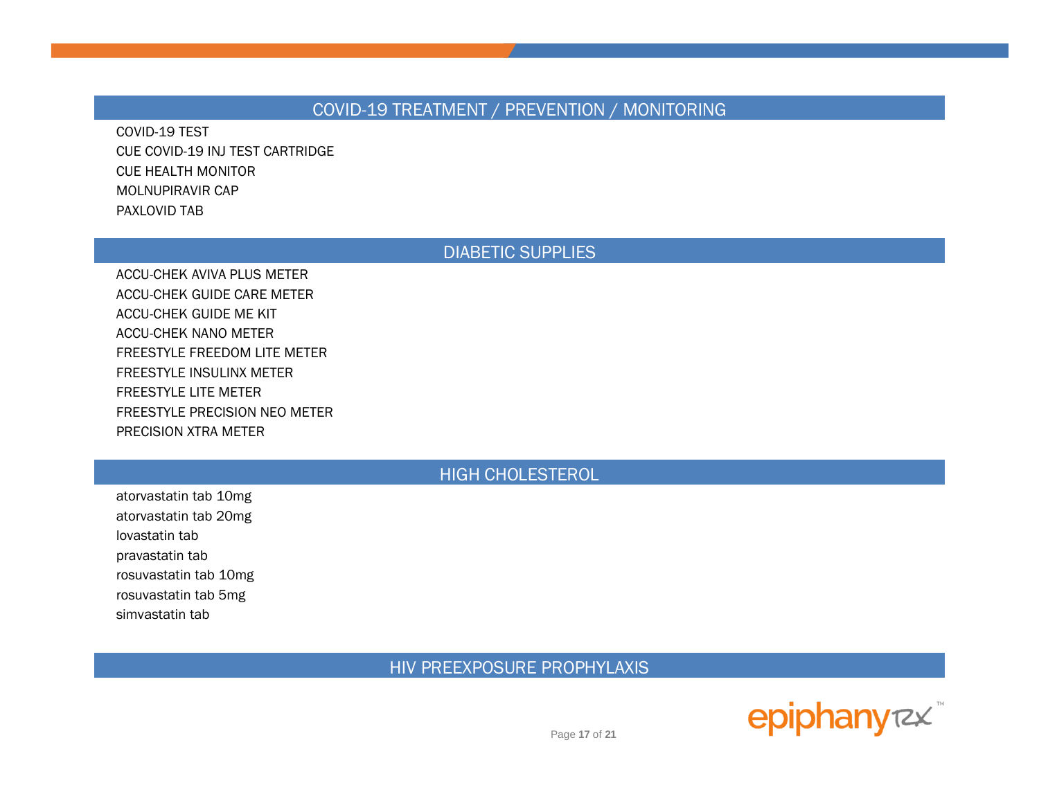## COVID-19 TREATMENT / PREVENTION / MONITORING

COVID-19 TEST CUE COVID-19 INJ TEST CARTRIDGE CUE HEALTH MONITOR MOLNUPIRAVIR CAP PAXLOVID TAB

#### DIABETIC SUPPLIES

ACCU-CHEK AVIVA PLUS METER ACCU-CHEK GUIDE CARE METER ACCU-CHEK GUIDE ME KIT ACCU-CHEK NANO METER FREESTYLE FREEDOM LITE METER FREESTYLE INSULINX METER FREESTYLE LITE METER FREESTYLE PRECISION NEO METER PRECISION XTRA METER

# HIGH CHOLESTEROL

atorvastatin tab 10mg atorvastatin tab 20mg lovastatin tab pravastatin tab rosuvastatin tab 10mg rosuvastatin tab 5mg simvastatin tab

HIV PREEXPOSURE PROPHYLAXIS

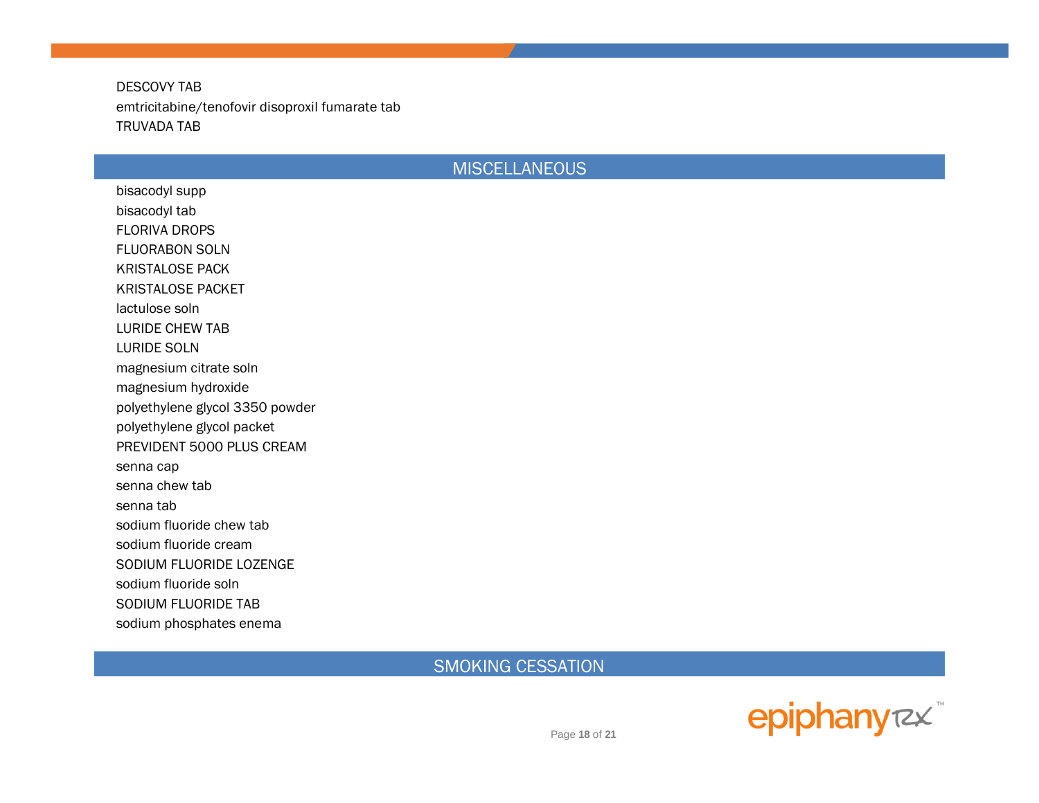**DESCOVY TAB** emtricitabine/tenofovir disoproxil fumarate tab **TRUVADA TAB** 

## **MISCELLANEOUS**

bisacodyl supp bisacodyl tab **FLORIVA DROPS FLUORABON SOLN KRISTALOSE PACK KRISTALOSE PACKET** lactulose soln **LURIDE CHEW TAB LURIDE SOLN** magnesium citrate soln magnesium hydroxide polyethylene glycol 3350 powder polyethylene glycol packet PREVIDENT 5000 PLUS CREAM senna cap senna chew tab senna tab sodium fluoride chew tab sodium fluoride cream SODIUM FLUORIDE LOZENGE sodium fluoride soln SODIUM FLUORIDE TAB sodium phosphates enema

**SMOKING CESSATION** 



Page 18 of 21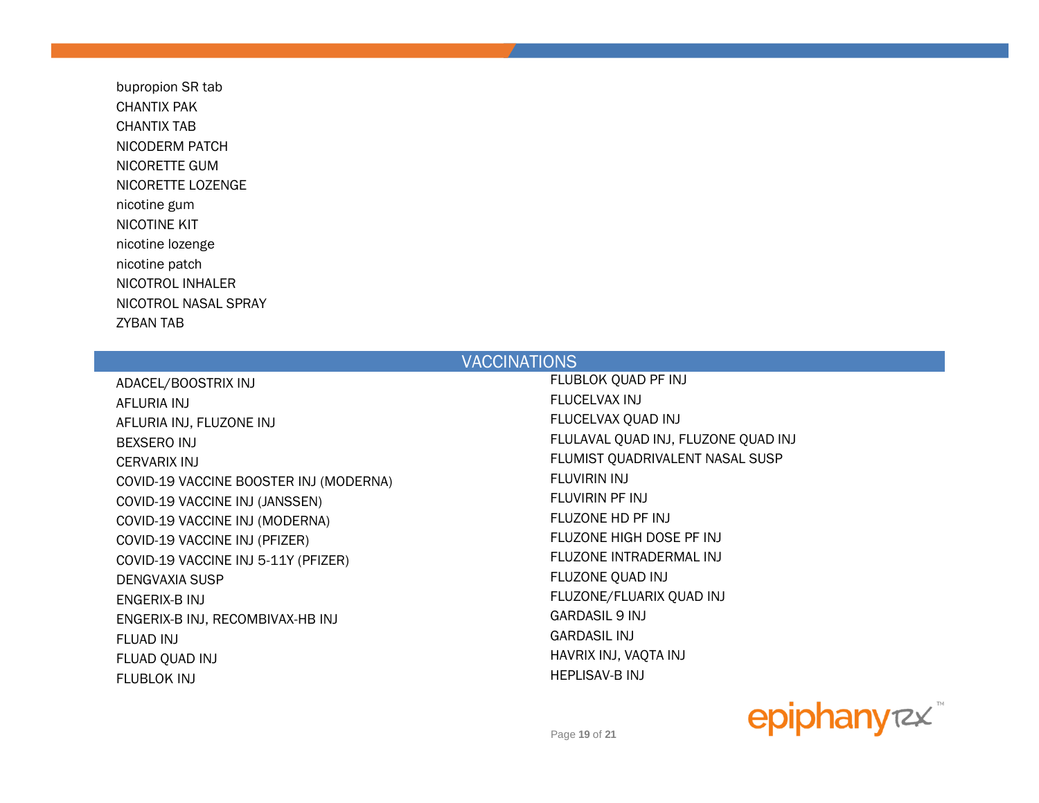bupropion SR tab CHANTIX PAK CHANTIX TAB NICODERM PATCH NICORETTE GUM NICORETTE LOZENGE nicotine gum NICOTINE KIT nicotine lozenge nicotine patch NICOTROL INHALER NICOTROL NASAL SPRAY ZYBAN TAB

#### **VACCINATIONS**

AFLURIA INJ FLUCELVAX INJ AFLURIA INJ, FLUZONE INJ FUNCELVAX QUAD INJ BEXSERO INJ FLULAVAL QUAD INJ, FLUZONE QUAD INJ CERVARIX INJ FLUMIST QUADRIVALENT NASAL SUSP COVID-19 VACCINE BOOSTER INJ (MODERNA) FLUVIRIN INJ COVID-19 VACCINE INJ (JANSSEN) FLUVIRIN PF INJ COVID-19 VACCINE INJ (MODERNA) FLUZONE HD PF INJ COVID-19 VACCINE INJ (PFIZER) THE STATE SERVICE OF THE STATE FLUZONE HIGH DOSE PF INJ COVID-19 VACCINE INJ 5-11Y (PFIZER) FLUZONE INTRADERMAL INJ DENGVAXIA SUSP FLUZONE QUAD INJ ENGERIX-B INJ FLUZONE/FLUARIX QUAD INJ ENGERIX-B INJ, RECOMBIVAX-HB INJ GARDASIL 9 INJ FLUAD INJ GARDASIL INJ FLUAD QUAD INJ HAVRIX INJ, VAQTA INJ FLUBLOK INJ HEPLISAV-B INJ

ADACEL/BOOSTRIX INJ FLUBLOK QUAD PF INJ

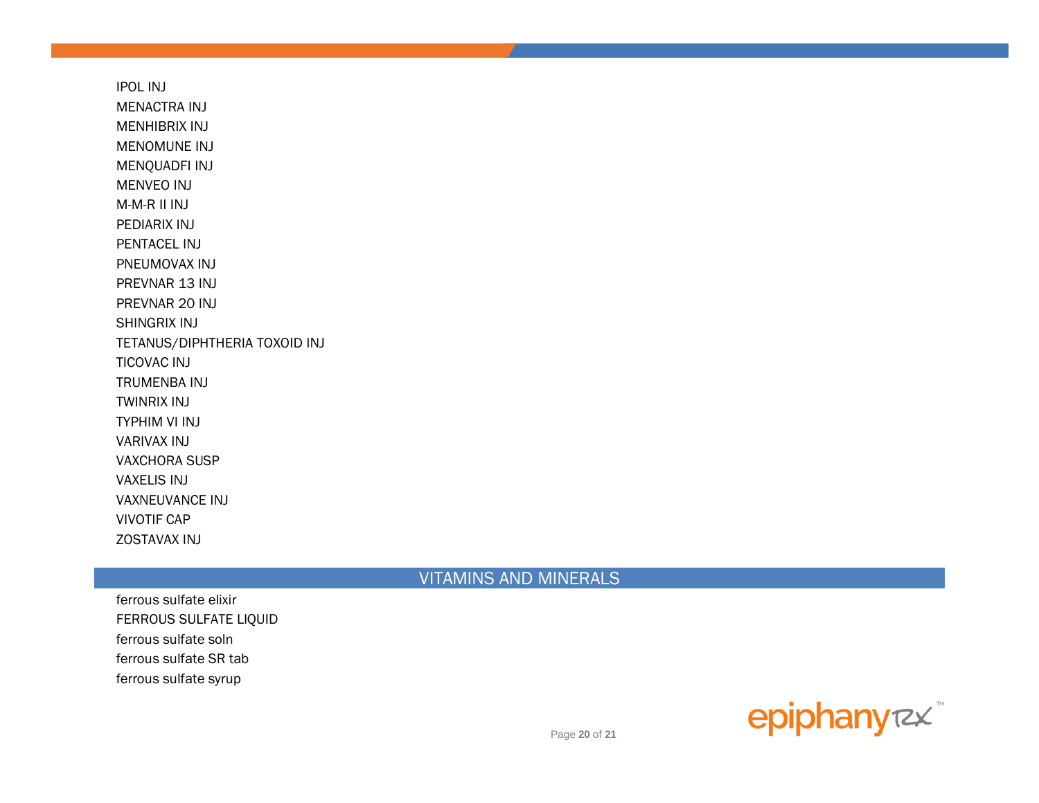IPOL INJ MENACTRA INJ MENHIBRIX INJ MENOMUNE INJ MENQUADFI INJ MENVEO INJ M-M-R II INJ PEDIARIX INJ PENTACEL INJ PNEUMOVAX INJ PREVNAR 13 INJ PREVNAR 20 INJ SHINGRIX INJ TETANUS/DIPHTHERIA TOXOID INJ TICOVAC INJ TRUMENBA INJ TWINRIX INJ TYPHIM VI INJ VARIVAX INJ VAXCHORA SUSP VAXELIS INJ VAXNEUVANCE INJ VIVOTIF CAP ZOSTAVAX INJ

## VITAMINS AND MINERALS

ferrous sulfate elixir FERROUS SULFATE LIQUID ferrous sulfate soln ferrous sulfate SR tab ferrous sulfate syrup



Page **20** of **21**